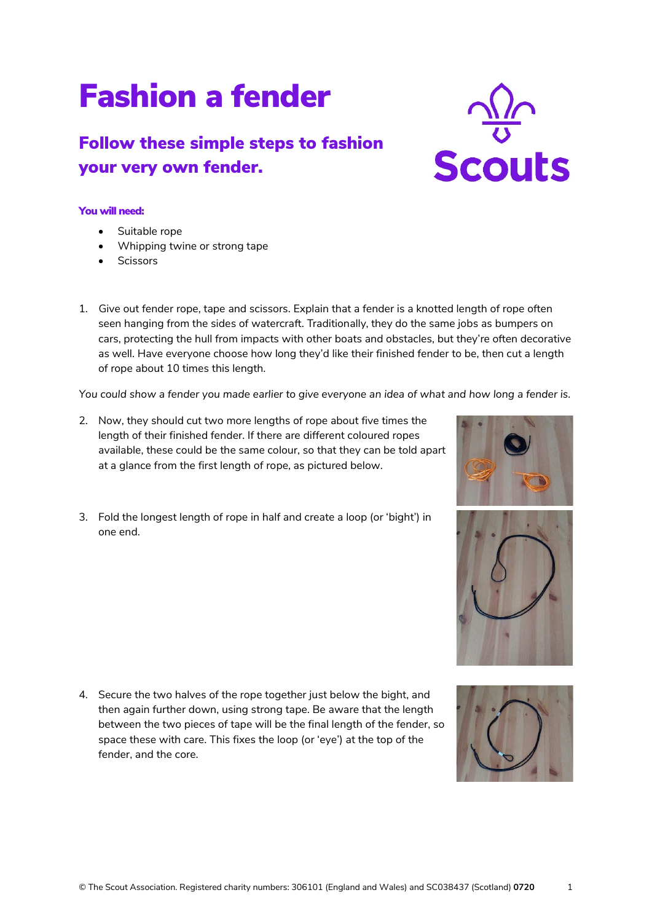## Fashion a fender

## Follow these simple steps to fashion your very own fender.

## You will need:

- Suitable rope
- Whipping twine or strong tape
- Scissors
- 1. Give out fender rope, tape and scissors. Explain that a fender is a knotted length of rope often seen hanging from the sides of watercraft. Traditionally, they do the same jobs as bumpers on cars, protecting the hull from impacts with other boats and obstacles, but they're often decorative as well. Have everyone choose how long they'd like their finished fender to be, then cut a length of rope about 10 times this length.

*You could show a fender you made earlier to give everyone an idea of what and how long a fender is.*

- 2. Now, they should cut two more lengths of rope about five times the length of their finished fender. If there are different coloured ropes available, these could be the same colour, so that they can be told apart at a glance from the first length of rope, as pictured below.
- 3. Fold the longest length of rope in half and create a loop (or 'bight') in one end.

4. Secure the two halves of the rope together just below the bight, and then again further down, using strong tape. Be aware that the length between the two pieces of tape will be the final length of the fender, so space these with care. This fixes the loop (or 'eye') at the top of the fender, and the core.







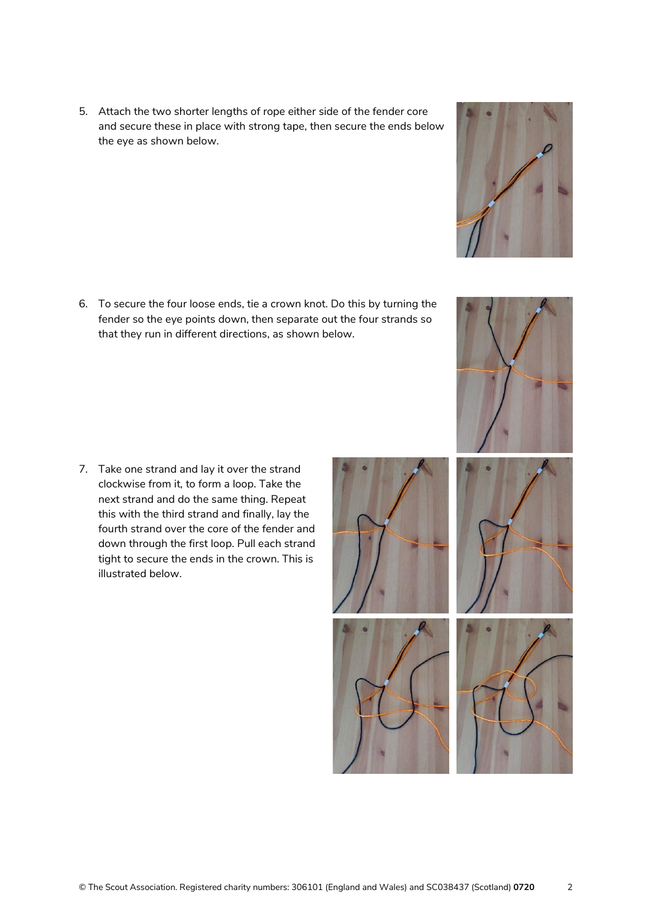5. Attach the two shorter lengths of rope either side of the fender core and secure these in place with strong tape, then secure the ends below the eye as shown below.

6. To secure the four loose ends, tie a crown knot. Do this by turning the fender so the eye points down, then separate out the four strands so that they run in different directions, as shown below.

7. Take one strand and lay it over the strand clockwise from it, to form a loop. Take the next strand and do the same thing. Repeat this with the third strand and finally, lay the fourth strand over the core of the fender and down through the first loop. Pull each strand tight to secure the ends in the crown. This is illustrated below.